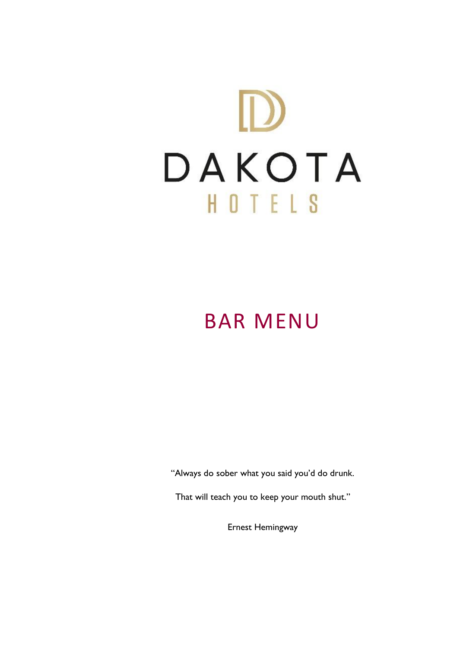

## BAR MENU

"Always do sober what you said you'd do drunk.

That will teach you to keep your mouth shut."

Ernest Hemingway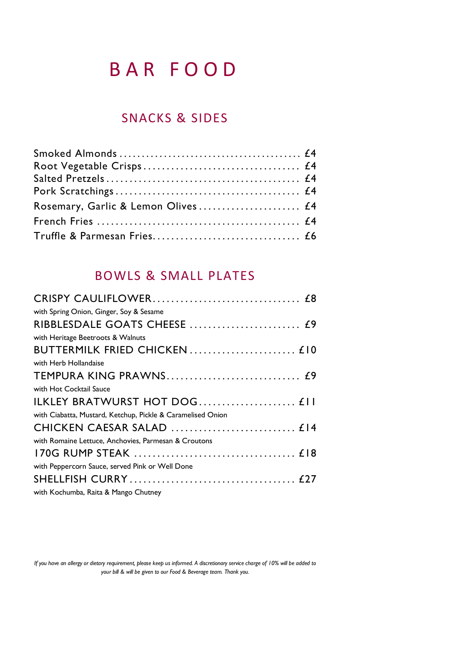### B A R F O O D

### SNACKS & SIDES

### BOWLS & SMALL PLATES

| with Spring Onion, Ginger, Soy & Sesame                     |  |
|-------------------------------------------------------------|--|
|                                                             |  |
| with Heritage Beetroots & Walnuts                           |  |
|                                                             |  |
| with Herb Hollandaise                                       |  |
|                                                             |  |
| with Hot Cocktail Sauce                                     |  |
| ILKLEY BRATWURST HOT DOG £11                                |  |
| with Ciabatta, Mustard, Ketchup, Pickle & Caramelised Onion |  |
|                                                             |  |
| with Romaine Lettuce, Anchovies, Parmesan & Croutons        |  |
|                                                             |  |
| with Peppercorn Sauce, served Pink or Well Done             |  |
|                                                             |  |
| with Kochumba, Raita & Mango Chutney                        |  |
|                                                             |  |

*If you have an allergy or dietary requirement, please keep us informed. A discretionary service charge of 10% will be added to your bill & will be given to our Food & Beverage team. Thank you.*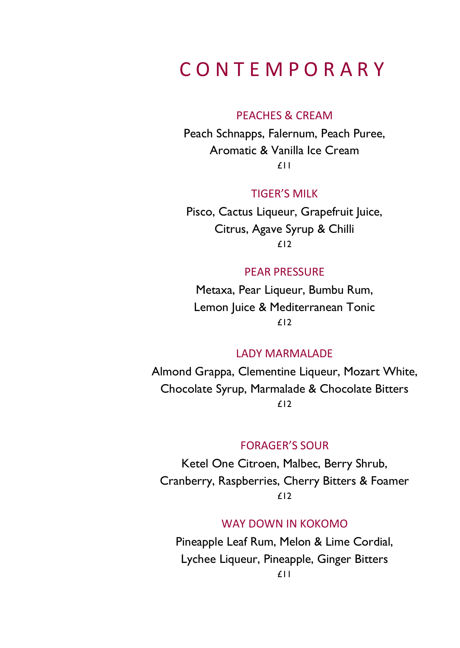### C O N T E M P O R A R Y

#### PEACHES & CREAM

Peach Schnapps, Falernum, Peach Puree, Aromatic & Vanilla Ice Cream £11

#### TIGER'S MILK

Pisco, Cactus Liqueur, Grapefruit Juice, Citrus, Agave Syrup & Chilli £12

#### PEAR PRESSURE

Metaxa, Pear Liqueur, Bumbu Rum, Lemon Juice & Mediterranean Tonic £12

### LADY MARMALADE

Almond Grappa, Clementine Liqueur, Mozart White, Chocolate Syrup, Marmalade & Chocolate Bitters £12

#### FORAGER'S SOUR

Ketel One Citroen, Malbec, Berry Shrub, Cranberry, Raspberries, Cherry Bitters & Foamer £12

#### WAY DOWN IN KOKOMO

Pineapple Leaf Rum, Melon & Lime Cordial, Lychee Liqueur, Pineapple, Ginger Bitters £11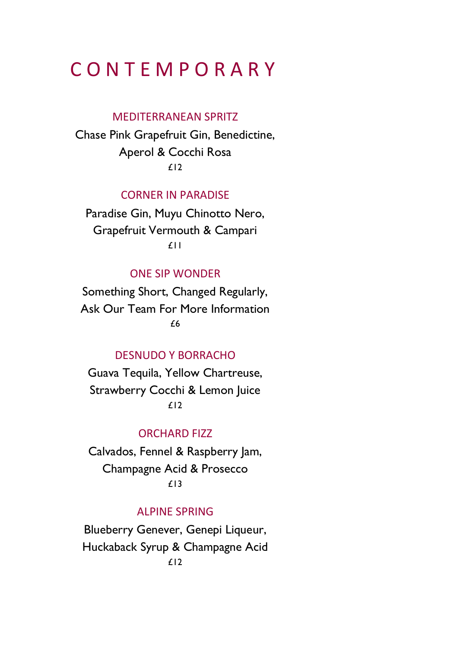### C O N T E M P O R A R Y

#### MEDITERRANEAN SPRITZ

Chase Pink Grapefruit Gin, Benedictine, Aperol & Cocchi Rosa £12

### CORNER IN PARADISE

Paradise Gin, Muyu Chinotto Nero, Grapefruit Vermouth & Campari £11

### ONE SIP WONDER

Something Short, Changed Regularly, Ask Our Team For More Information  $\overline{\mathbf{f}}$ 

### DESNUDO Y BORRACHO

Guava Tequila, Yellow Chartreuse, Strawberry Cocchi & Lemon Juice £12

#### ORCHARD FIZZ

Calvados, Fennel & Raspberry Jam, Champagne Acid & Prosecco £13

#### ALPINE SPRING

Blueberry Genever, Genepi Liqueur, Huckaback Syrup & Champagne Acid £12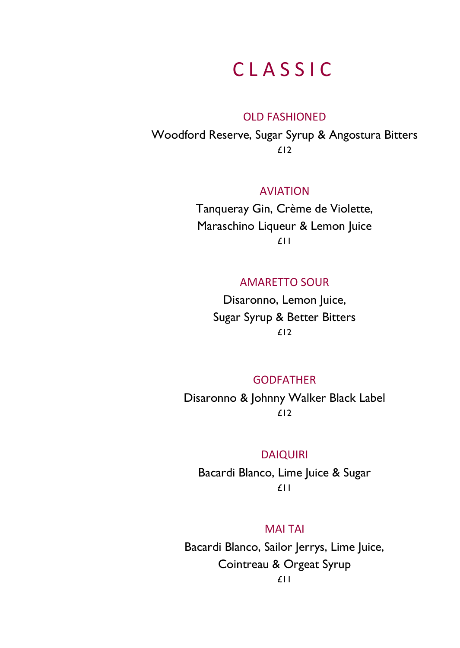### C L A S S I C

#### OLD FASHIONED

Woodford Reserve, Sugar Syrup & Angostura Bitters £12

#### AVIATION

Tanqueray Gin, Crème de Violette, Maraschino Liqueur & Lemon Juice £11

#### AMARETTO SOUR

Disaronno, Lemon Juice, Sugar Syrup & Better Bitters  $f12$ 

### GODFATHER

Disaronno & Johnny Walker Black Label £12

#### DAIQUIRI

Bacardi Blanco, Lime Juice & Sugar £11

#### MAI TAI

Bacardi Blanco, Sailor Jerrys, Lime Juice, Cointreau & Orgeat Syrup £11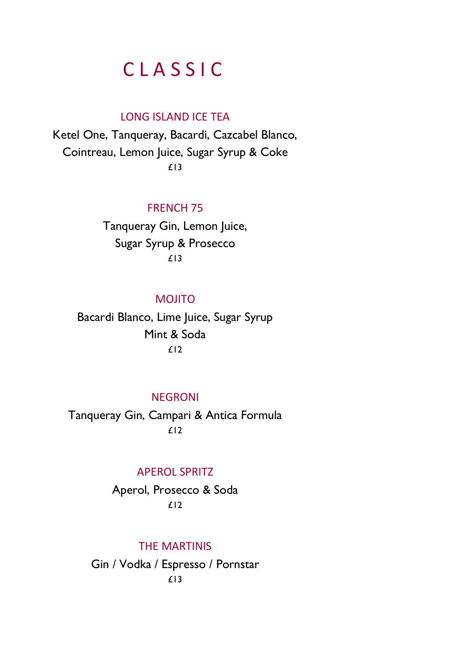### C L A S S I C

### LONG ISLAND ICE TEA

Ketel One, Tanqueray, Bacardi, Cazcabel Blanco, Cointreau, Lemon Juice, Sugar Syrup & Coke £13

### FRENCH 75

Tanqueray Gin, Lemon Juice, Sugar Syrup & Prosecco £13

### **MOJITO**

Bacardi Blanco, Lime Juice, Sugar Syrup Mint & Soda  $f12$ 

### **NEGRONI**

Tanqueray Gin, Campari & Antica Formula  $f12$ 

#### APEROL SPRITZ

Aperol, Prosecco & Soda £12

#### THE MARTINIS

Gin / Vodka / Espresso / Pornstar £13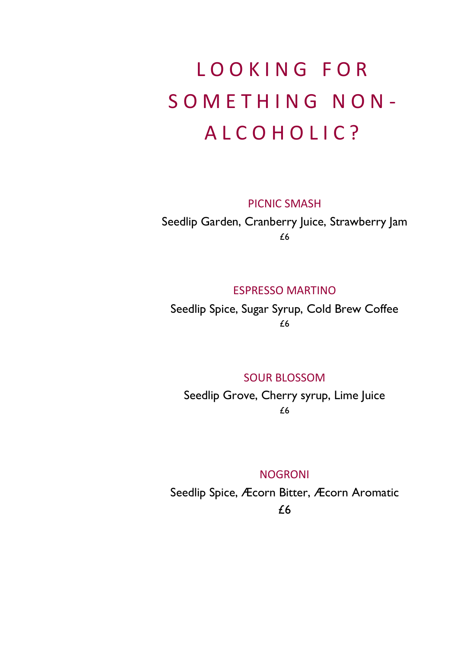# LOOKING FOR SOMETHING NON-A L C O H O L I C ?

PICNIC SMASH

Seedlip Garden, Cranberry Juice, Strawberry Jam £6

### ESPRESSO MARTINO

Seedlip Spice, Sugar Syrup, Cold Brew Coffee £6

#### SOUR BLOSSOM

Seedlip Grove, Cherry syrup, Lime Juice £6

#### NOGRONI

Seedlip Spice, Æcorn Bitter, Æcorn Aromatic £6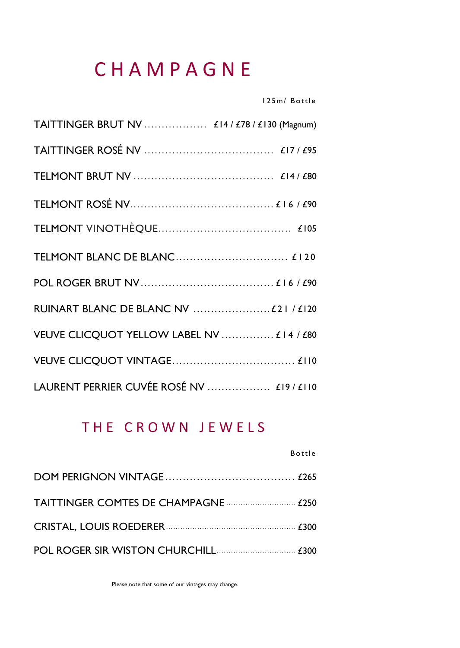### C H A M P A G N E

1 2 5 m/ B ot t le

| TAITTINGER BRUT NV  £14 / £78 / £130 (Magnum) |
|-----------------------------------------------|
|                                               |
|                                               |
|                                               |
|                                               |
|                                               |
|                                               |
| RUINART BLANC DE BLANC NV  £21 / £120         |
| VEUVE CLICQUOT YELLOW LABEL NV  £14 / £80     |
|                                               |
| LAURENT PERRIER CUVÉE ROSÉ NV  £19 / £110     |

### THE CROWN JEWELS

**B** ottle

Please note that some of our vintages may change.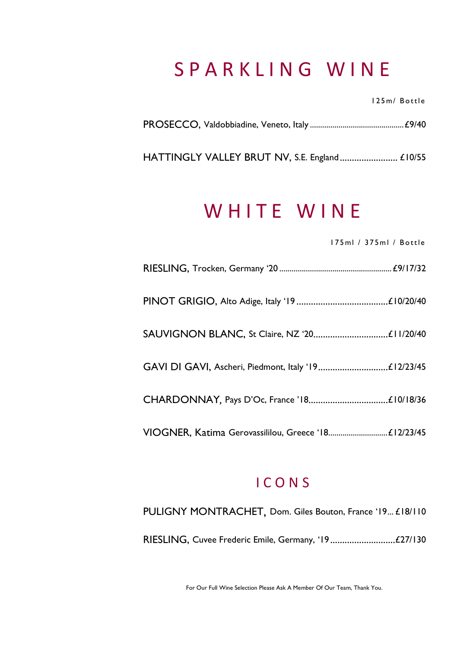### S P A R K L I N G W I N E

1 2 5 m/ B ot t le

HATTINGLY VALLEY BRUT NV, S.E. England.......................... £10/55

### WHITE WINE

1 7 5 ml / 3 7 5 m l / B ot t le

### I C O N S

| PULIGNY MONTRACHET, Dom. Giles Bouton, France '19 £18/110 |
|-----------------------------------------------------------|
|                                                           |

For Our Full Wine Selection Please Ask A Member Of Our Team, Thank You.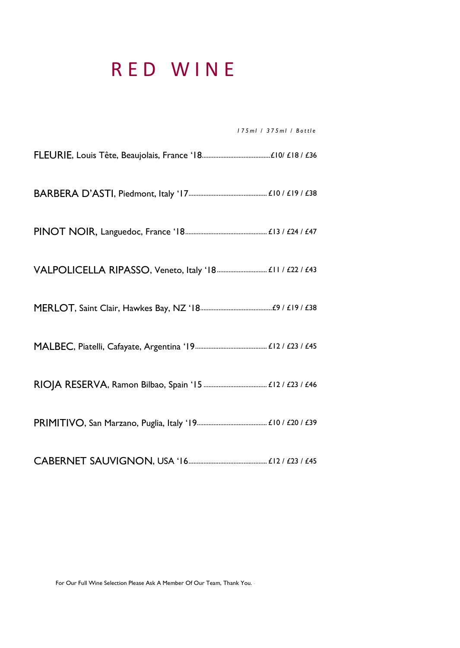### R E D W I N E

*1 7 5 m l / 3 7 5 m l / B o t t l e*

CABERNET SAUVIGNON, USA '16............................................... £12 / £23 / £45

For Our Full Wine Selection Please Ask A Member Of Our Team, Thank You. .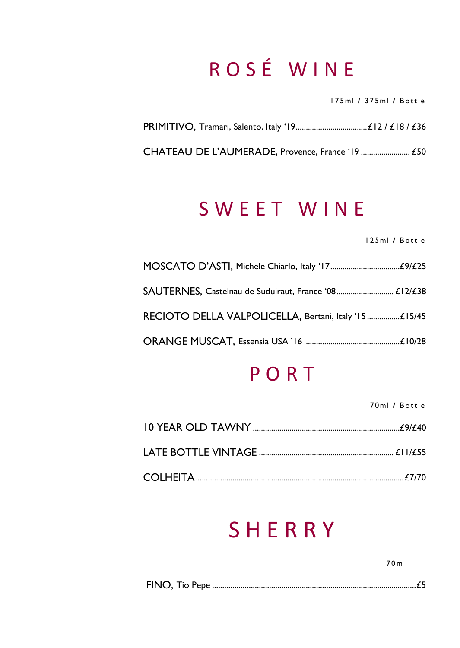# R O S É W I N E

1 7 5 ml / 3 7 5 m l / B ot t le

CHATEAU DE L'AUMERADE, Provence, France '19 ........................ £50

### S W E E T W I N E

1 2 5 ml / B ot t le

| SAUTERNES, Castelnau de Suduiraut, France '08 £12/£38 |  |
|-------------------------------------------------------|--|
| RECIOTO DELLA VALPOLICELLA, Bertani, Italy '15£15/45  |  |
|                                                       |  |

### P O R T

70 ml / Bottle

### **SHERRY**

7 0 m

|--|--|--|--|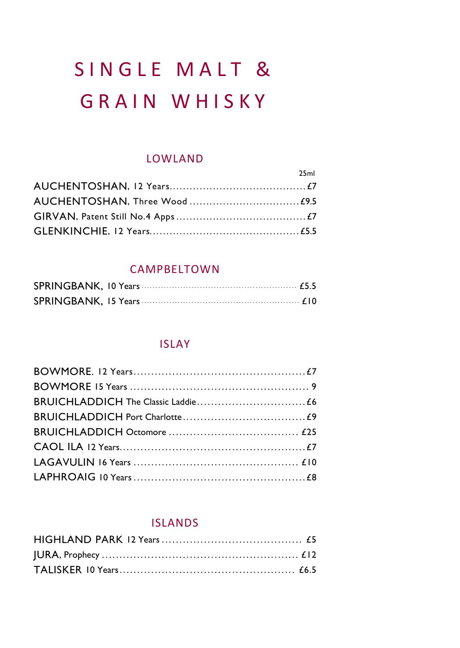# SINGLE MALT & GRAIN WHISKY

### LOWLAND

| 25ml |
|------|
|      |
|      |
|      |
|      |

### CAMPBELTOWN

### ISLAY

### ISLANDS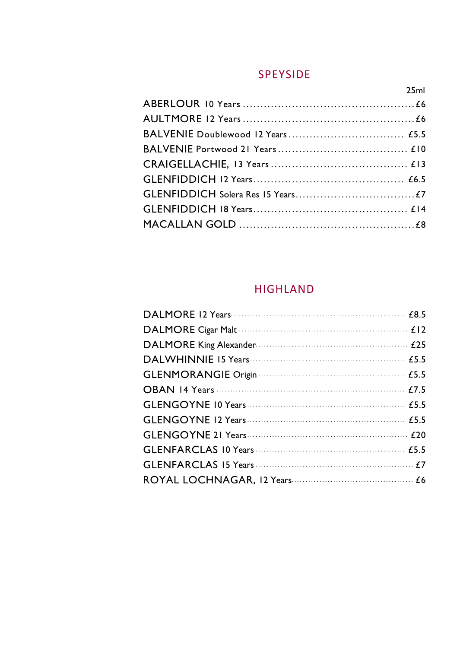### **SPEYSIDE**

 $25ml$ 

### **HIGHLAND**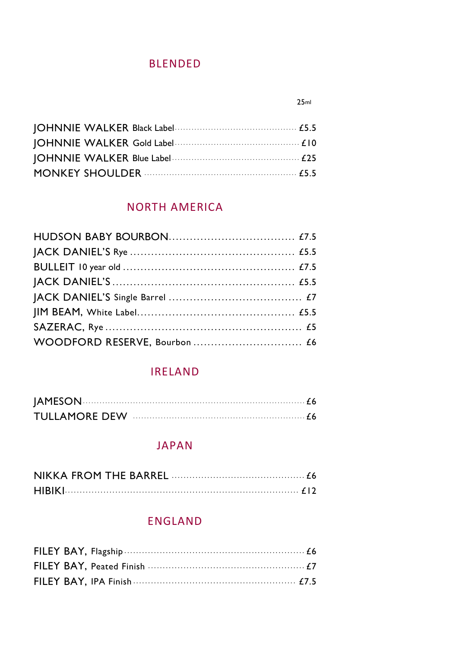### **BIFNDED**

| MONKEY SHOULDER <b>CONSUMING THE CONSUMING CONTROL</b> |
|--------------------------------------------------------|

### NORTH AMERICA

### **IRELAND**

| JAMESON 66 |  |
|------------|--|
|            |  |

### **JAPAN**

### ENGLAND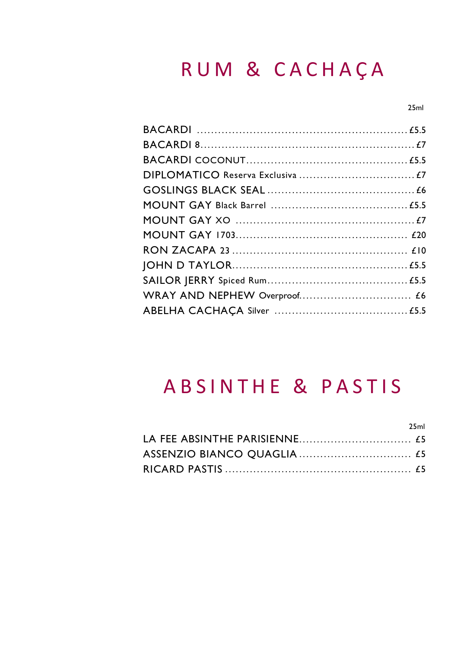### RUM & CACHAÇA

 $25ml$ 

 $25.1$ 

### **ABSINTHE & PASTIS**

| $\sim$ |
|--------|
|        |
|        |
|        |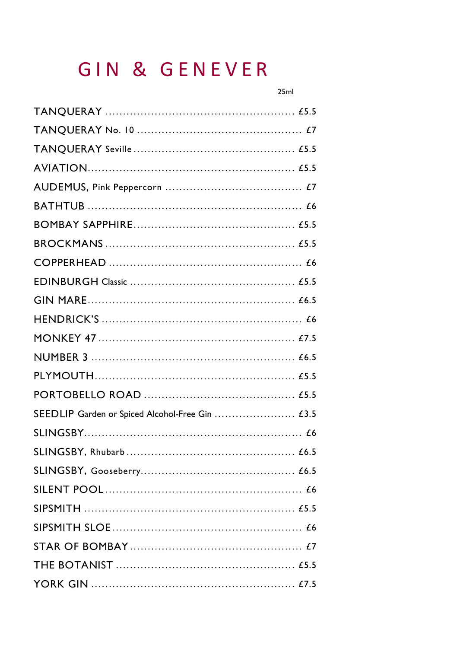### GIN & GENEVER

| SEEDLIP Garden or Spiced Alcohol-Free Gin  £3.5 |
|-------------------------------------------------|
|                                                 |
|                                                 |
|                                                 |
|                                                 |
|                                                 |
|                                                 |
|                                                 |
|                                                 |
|                                                 |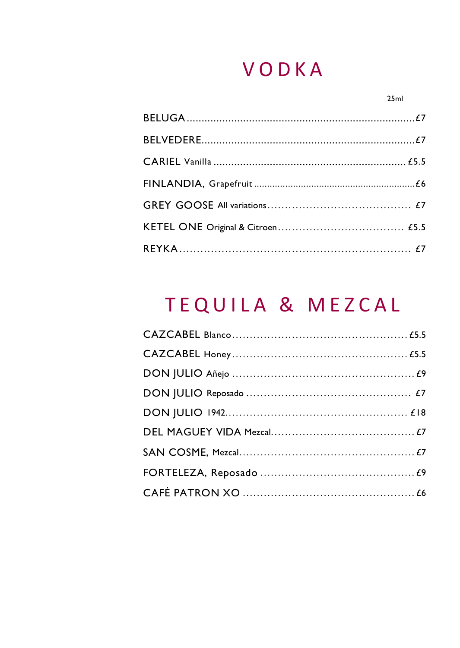### VODKA

#### $25ml$

# TEQUILA & MEZCAL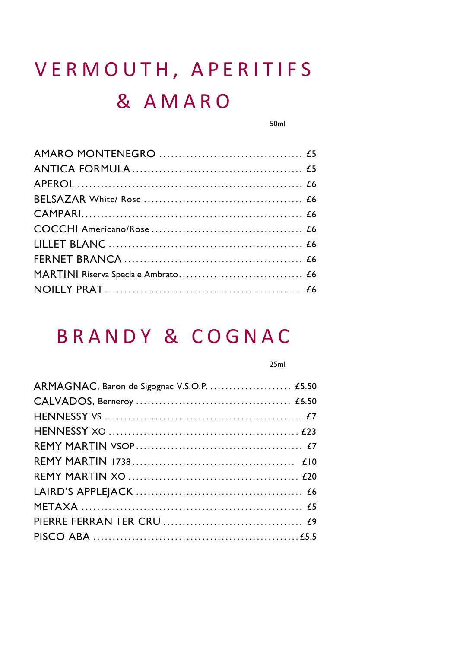# VERMOUTH, APERITIFS & AMARO

 $50<sub>m</sub>$ 

### **BRANDY & COGNAC**

#### $25ml$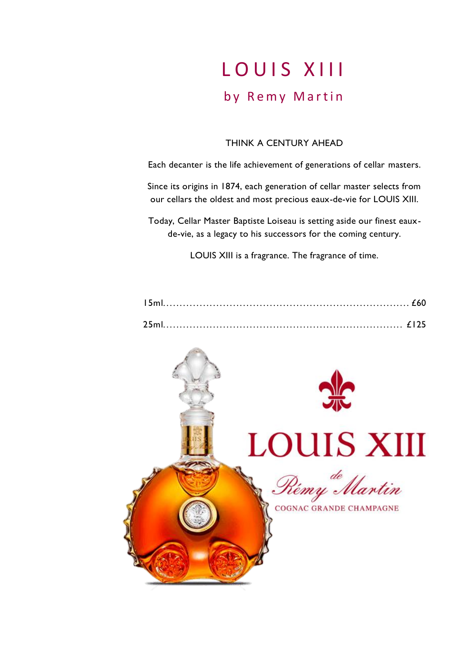### LOUIS XIII by Remy Martin

#### THINK A CENTURY AHEAD

Each decanter is the life achievement of generations of cellar masters.

Since its origins in 1874, each generation of cellar master selects from our cellars the oldest and most precious eaux-de-vie for LOUIS XIII.

Today, Cellar Master Baptiste Loiseau is setting aside our finest eauxde-vie, as a legacy to his successors for the coming century.

LOUIS XIII is a fragrance. The fragrance of time.

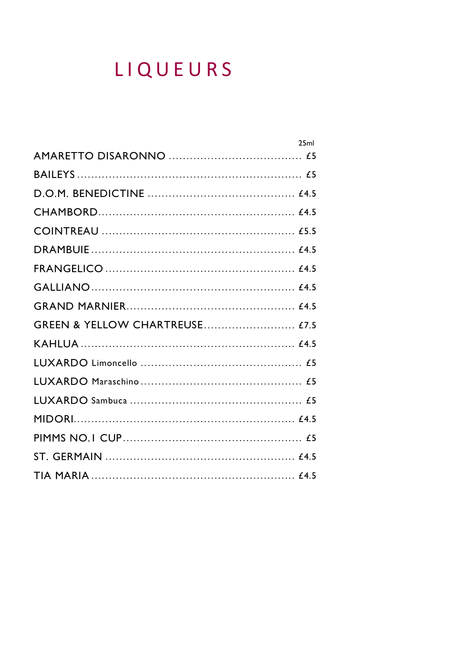# LIQUEURS

|                                | 25ml |
|--------------------------------|------|
|                                |      |
|                                |      |
|                                |      |
|                                |      |
|                                |      |
|                                |      |
|                                |      |
|                                |      |
|                                |      |
| GREEN & YELLOW CHARTREUSE £7.5 |      |
|                                |      |
|                                |      |
|                                |      |
|                                |      |
|                                |      |
|                                |      |
|                                |      |
|                                |      |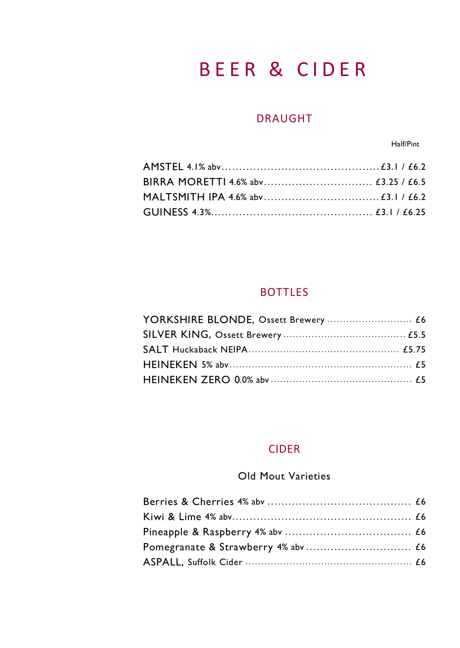### BEER & CIDER

### DRAUGHT

**Half/Pint** 

### BOTTLES

### CIDER

### Old Mout Varieties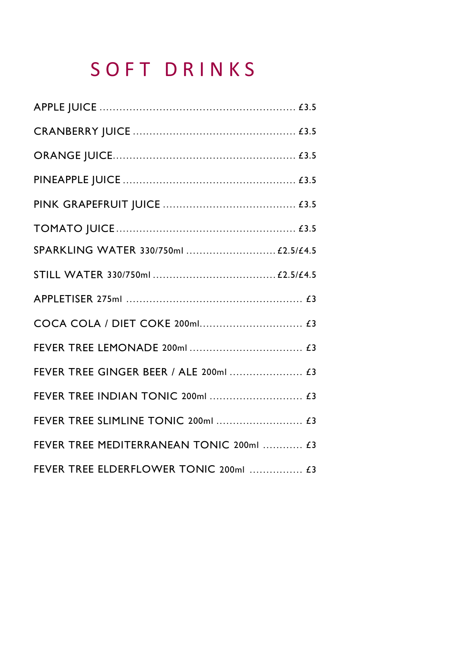# S O F T D R I N K S

| SPARKLING WATER 330/750ml  £2.5/£4.5     |  |
|------------------------------------------|--|
|                                          |  |
|                                          |  |
|                                          |  |
|                                          |  |
| FEVER TREE GINGER BEER / ALE 200ml  £3   |  |
|                                          |  |
|                                          |  |
| FEVER TREE MEDITERRANEAN TONIC 200ml  £3 |  |
| FEVER TREE ELDERFLOWER TONIC 200ml  £3   |  |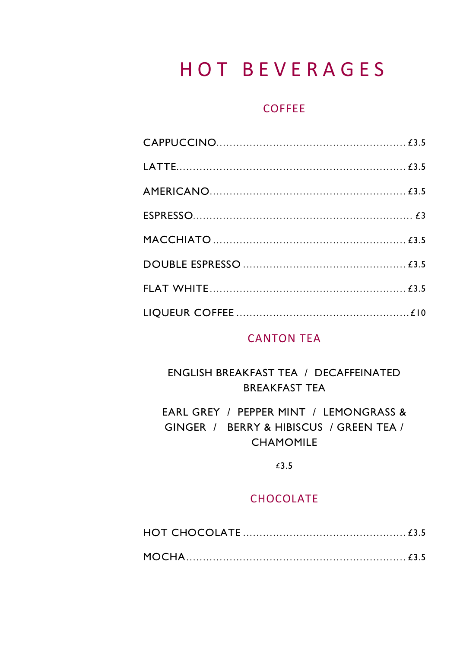### **HOT BEVERAGES**

### COFFEE

### **CANTON TEA**

### ENGLISH BREAKFAST TEA / DECAFFEINATED **BREAKFAST TEA**

EARL GREY / PEPPER MINT / LEMONGRASS & GINGER / BERRY & HIBISCUS / GREEN TEA / **CHAMOMILE** 

 $£3.5$ 

### CHOCOLATE

|--|--|

|--|--|